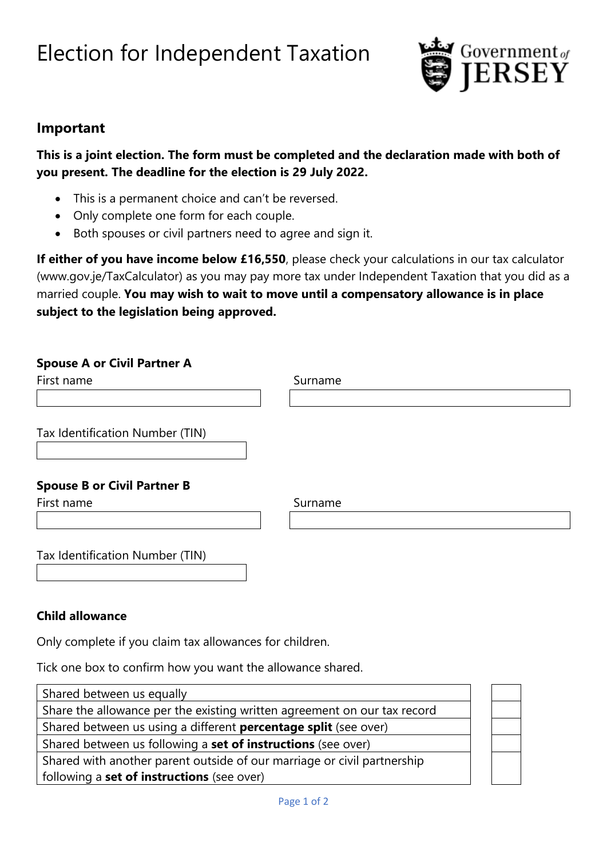# Election for Independent Taxation



## **Important**

**This is a joint election. The form must be completed and the declaration made with both of you present. The deadline for the election is 29 July 2022.**

- This is a permanent choice and can't be reversed.
- Only complete one form for each couple.
- Both spouses or civil partners need to agree and sign it.

**If either of you have income below £16,550**, please check your calculations in our tax calculator (www.gov.je/TaxCalculator) as you may pay more tax under Independent Taxation that you did as a married couple. **You may wish to wait to move until a compensatory allowance is in place subject to the legislation being approved.**

#### **Spouse A or Civil Partner A**

| First name                                       | Surname |  |  |
|--------------------------------------------------|---------|--|--|
|                                                  |         |  |  |
| Tax Identification Number (TIN)                  |         |  |  |
|                                                  |         |  |  |
|                                                  |         |  |  |
| <b>Spouse B or Civil Partner B</b><br>First name | Surname |  |  |
|                                                  |         |  |  |

#### **Child allowance**

Only complete if you claim tax allowances for children.

Tick one box to confirm how you want the allowance shared.

| Shared between us equally                                                |  |  |
|--------------------------------------------------------------------------|--|--|
| Share the allowance per the existing written agreement on our tax record |  |  |
| Shared between us using a different <b>percentage split</b> (see over)   |  |  |
| Shared between us following a set of instructions (see over)             |  |  |
| Shared with another parent outside of our marriage or civil partnership  |  |  |
| following a <b>set of instructions</b> (see over)                        |  |  |